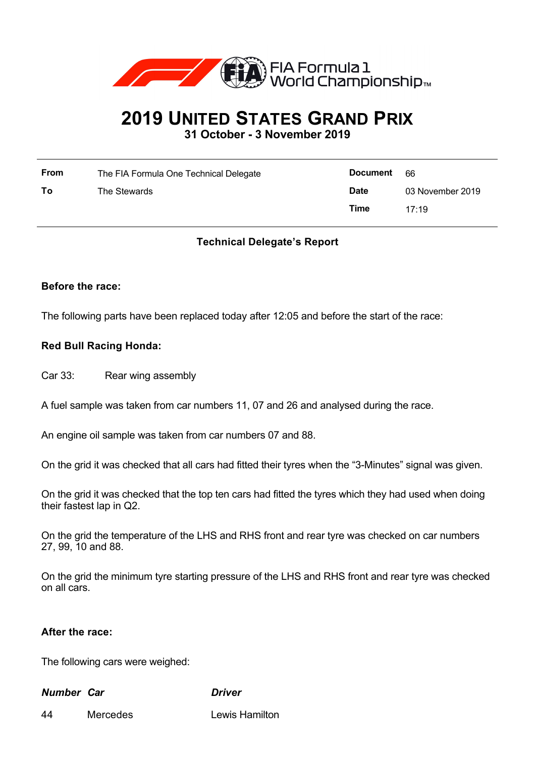

# **2019 UNITED STATES GRAND PRIX**

**31 October - 3 November 2019**

| <b>From</b> | The FIA Formula One Technical Delegate | <b>Document</b> | -66              |
|-------------|----------------------------------------|-----------------|------------------|
| To          | The Stewards                           | <b>Date</b>     | 03 November 2019 |
|             |                                        | Time            | 17.19            |

## **Technical Delegate's Report**

## **Before the race:**

The following parts have been replaced today after 12:05 and before the start of the race:

## **Red Bull Racing Honda:**

Car 33: Rear wing assembly

A fuel sample was taken from car numbers 11, 07 and 26 and analysed during the race.

An engine oil sample was taken from car numbers 07 and 88.

On the grid it was checked that all cars had fitted their tyres when the "3-Minutes" signal was given.

On the grid it was checked that the top ten cars had fitted the tyres which they had used when doing their fastest lap in Q2.

On the grid the temperature of the LHS and RHS front and rear tyre was checked on car numbers 27, 99, 10 and 88.

On the grid the minimum tyre starting pressure of the LHS and RHS front and rear tyre was checked on all cars.

## **After the race:**

The following cars were weighed:

## *Number Car Driver*

44 Mercedes Lewis Hamilton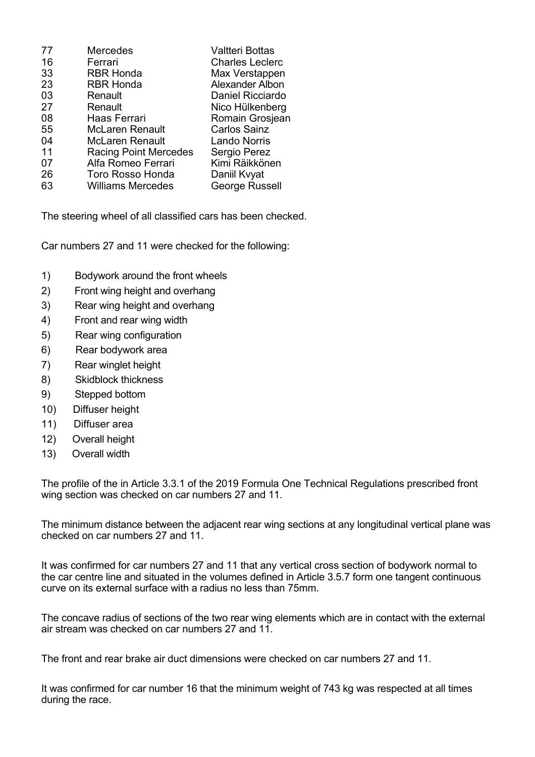| <b>Mercedes</b>              | Valtteri Bottas        |
|------------------------------|------------------------|
| Ferrari                      | <b>Charles Leclerc</b> |
| <b>RBR Honda</b>             | Max Verstappen         |
| <b>RBR Honda</b>             | Alexander Albon        |
| Renault                      | Daniel Ricciardo       |
| Renault                      | Nico Hülkenberg        |
| Haas Ferrari                 | Romain Grosjean        |
| <b>McLaren Renault</b>       | <b>Carlos Sainz</b>    |
| <b>McLaren Renault</b>       | <b>Lando Norris</b>    |
| <b>Racing Point Mercedes</b> | Sergio Perez           |
| Alfa Romeo Ferrari           | Kimi Räikkönen         |
| <b>Toro Rosso Honda</b>      | Daniil Kvyat           |
| <b>Williams Mercedes</b>     | George Russell         |
|                              |                        |

The steering wheel of all classified cars has been checked.

Car numbers 27 and 11 were checked for the following:

- 1) Bodywork around the front wheels
- 2) Front wing height and overhang
- 3) Rear wing height and overhang
- 4) Front and rear wing width
- 5) Rear wing configuration
- 6) Rear bodywork area
- 7) Rear winglet height
- 8) Skidblock thickness
- 9) Stepped bottom
- 10) Diffuser height
- 11) Diffuser area
- 12) Overall height
- 13) Overall width

The profile of the in Article 3.3.1 of the 2019 Formula One Technical Regulations prescribed front wing section was checked on car numbers 27 and 11.

The minimum distance between the adjacent rear wing sections at any longitudinal vertical plane was checked on car numbers 27 and 11.

It was confirmed for car numbers 27 and 11 that any vertical cross section of bodywork normal to the car centre line and situated in the volumes defined in Article 3.5.7 form one tangent continuous curve on its external surface with a radius no less than 75mm.

The concave radius of sections of the two rear wing elements which are in contact with the external air stream was checked on car numbers 27 and 11.

The front and rear brake air duct dimensions were checked on car numbers 27 and 11.

It was confirmed for car number 16 that the minimum weight of 743 kg was respected at all times during the race.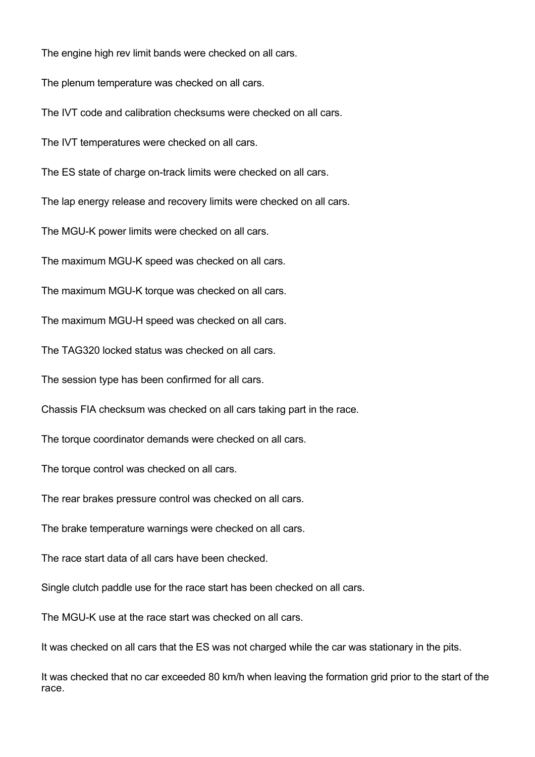The engine high rev limit bands were checked on all cars.

The plenum temperature was checked on all cars.

The IVT code and calibration checksums were checked on all cars.

The IVT temperatures were checked on all cars.

The ES state of charge on-track limits were checked on all cars.

The lap energy release and recovery limits were checked on all cars.

The MGU-K power limits were checked on all cars.

The maximum MGU-K speed was checked on all cars.

The maximum MGU-K torque was checked on all cars.

The maximum MGU-H speed was checked on all cars.

The TAG320 locked status was checked on all cars.

The session type has been confirmed for all cars.

Chassis FIA checksum was checked on all cars taking part in the race.

The torque coordinator demands were checked on all cars.

The torque control was checked on all cars.

The rear brakes pressure control was checked on all cars.

The brake temperature warnings were checked on all cars.

The race start data of all cars have been checked.

Single clutch paddle use for the race start has been checked on all cars.

The MGU-K use at the race start was checked on all cars.

It was checked on all cars that the ES was not charged while the car was stationary in the pits.

It was checked that no car exceeded 80 km/h when leaving the formation grid prior to the start of the race.